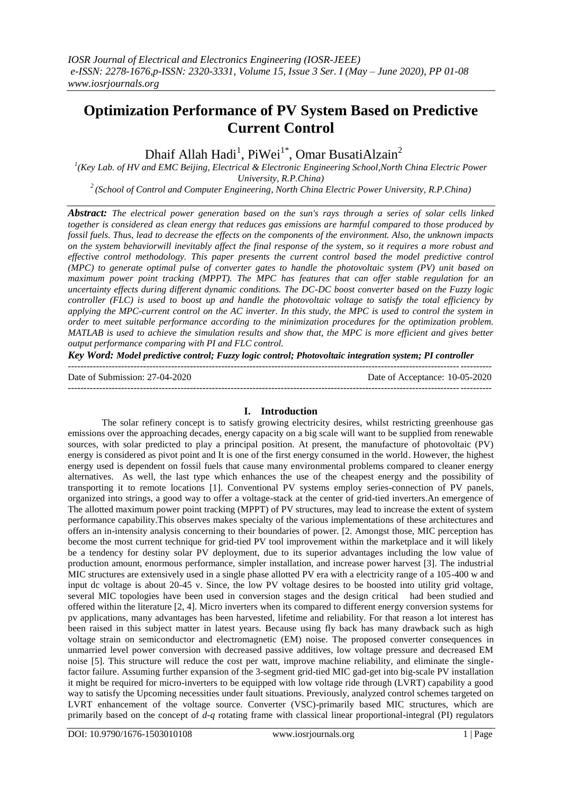# **Optimization Performance of PV System Based on Predictive Current Control**

Dhaif Allah Hadi<sup>1</sup>, PiWei<sup>1\*</sup>, Omar BusatiAlzain<sup>2</sup>

<sup>1</sup>(Key Lab. of HV and EMC Beijing, Electrical & Electronic Engineering School,North China Electric Power *University, R.P.China)* 

*<sup>2</sup>(School of Control and Computer Engineering, North China Electric Power University, R.P.China)*

*Abstract: The electrical power generation based on the sun's rays through a series of solar cells linked together is considered as clean energy that reduces gas emissions are harmful compared to those produced by fossil fuels. Thus, lead to decrease the effects on the components of the environment. Also, the unknown impacts on the system behaviorwill inevitably affect the final response of the system, so it requires a more robust and effective control methodology. This paper presents the current control based the model predictive control (MPC) to generate optimal pulse of converter gates to handle the photovoltaic system (PV) unit based on maximum power point tracking (MPPT). The MPC has features that can offer stable regulation for an uncertainty effects during different dynamic conditions. The DC-DC boost converter based on the Fuzzy logic controller (FLC) is used to boost up and handle the photovoltaic voltage to satisfy the total efficiency by applying the MPC-current control on the AC inverter. In this study, the MPC is used to control the system in order to meet suitable performance according to the minimization procedures for the optimization problem. MATLAB is used to achieve the simulation results and show that, the MPC is more efficient and gives better output performance comparing with PI and FLC control.* 

*Key Word: Model predictive control; Fuzzy logic control; Photovoltaic integration system; PI controller*

---------------------------------------------------------------------------------------------------------------------------------------

Date of Submission: 27-04-2020 Date of Acceptance: 10-05-2020 ---------------------------------------------------------------------------------------------------------------------------------------

# **I. Introduction**

The solar refinery concept is to satisfy growing electricity desires, whilst restricting greenhouse gas emissions over the approaching decades, energy capacity on a big scale will want to be supplied from renewable sources, with solar predicted to play a principal position. At present, the manufacture of photovoltaic (PV) energy is considered as pivot point and It is one of the first energy consumed in the world. However, the highest energy used is dependent on fossil fuels that cause many environmental problems compared to cleaner energy alternatives. As well, the last type which enhances the use of the cheapest energy and the possibility of transporting it to remote locations [1]. Conventional PV systems employ series-connection of PV panels, organized into strings, a good way to offer a voltage-stack at the center of grid-tied inverters.An emergence of The allotted maximum power point tracking (MPPT) of PV structures, may lead to increase the extent of system performance capability.This observes makes specialty of the various implementations of these architectures and offers an in-intensity analysis concerning to their boundaries of power. [2. Amongst those, MIC perception has become the most current technique for grid-tied PV tool improvement within the marketplace and it will likely be a tendency for destiny solar PV deployment, due to its superior advantages including the low value of production amount, enormous performance, simpler installation, and increase power harvest [3]. The industrial MIC structures are extensively used in a single phase allotted PV era with a electricity range of a 105-400 w and input dc voltage is about 20-45 v. Since, the low PV voltage desires to be boosted into utility grid voltage, several MIC topologies have been used in conversion stages and the design critical had been studied and offered within the literature [2, 4]. Micro inverters when its compared to different energy conversion systems for pv applications, many advantages has been harvested, lifetime and reliability. For that reason a lot interest has been raised in this subject matter in latest years. Because using fly back has many drawback such as high voltage strain on semiconductor and electromagnetic (EM) noise. The proposed converter consequences in unmarried level power conversion with decreased passive additives, low voltage pressure and decreased EM noise [5]. This structure will reduce the cost per watt, improve machine reliability, and eliminate the singlefactor failure. Assuming further expansion of the 3-segment grid-tied MIC gad-get into big-scale PV installation it might be required for micro-inverters to be equipped with low voltage ride through (LVRT) capability a good way to satisfy the Upcoming necessities under fault situations. Previously, analyzed control schemes targeted on LVRT enhancement of the voltage source. Converter (VSC)-primarily based MIC structures, which are primarily based on the concept of *d-q* rotating frame with classical linear proportional-integral (PI) regulators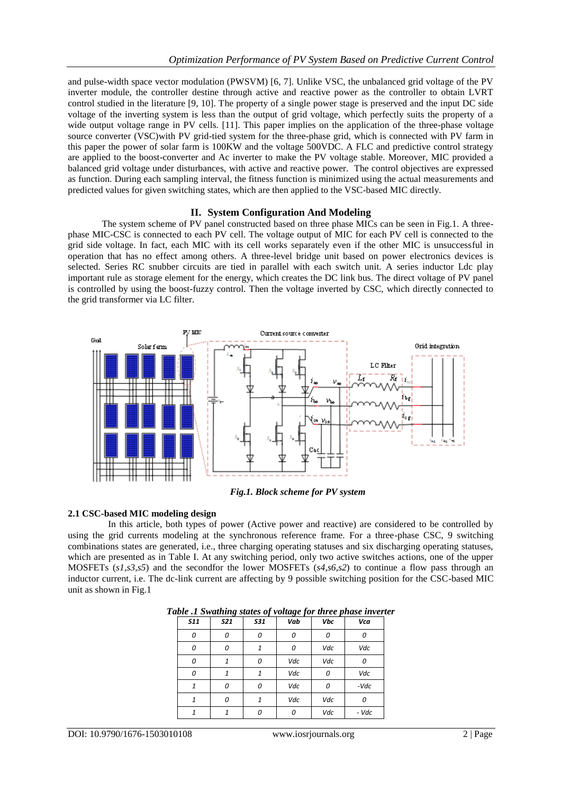and pulse-width space vector modulation (PWSVM) [6, 7]. Unlike VSC, the unbalanced grid voltage of the PV inverter module, the controller destine through active and reactive power as the controller to obtain LVRT control studied in the literature [9, 10]. The property of a single power stage is preserved and the input DC side voltage of the inverting system is less than the output of grid voltage, which perfectly suits the property of a wide output voltage range in PV cells. [11]. This paper implies on the application of the three-phase voltage source converter (VSC)with PV grid-tied system for the three-phase grid, which is connected with PV farm in this paper the power of solar farm is 100KW and the voltage 500VDC. A FLC and predictive control strategy are applied to the boost-converter and Ac inverter to make the PV voltage stable. Moreover, MIC provided a balanced grid voltage under disturbances, with active and reactive power. The control objectives are expressed as function. During each sampling interval, the fitness function is minimized using the actual measurements and predicted values for given switching states, which are then applied to the VSC-based MIC directly.

## **II. System Configuration And Modeling**

The system scheme of PV panel constructed based on three phase MICs can be seen in Fig.1. A threephase MIC-CSC is connected to each PV cell. The voltage output of MIC for each PV cell is connected to the grid side voltage. In fact, each MIC with its cell works separately even if the other MIC is unsuccessful in operation that has no effect among others. A three-level bridge unit based on power electronics devices is selected. Series RC snubber circuits are tied in parallel with each switch unit. A series inductor Ldc play important rule as storage element for the energy, which creates the DC link bus. The direct voltage of PV panel is controlled by using the boost-fuzzy control. Then the voltage inverted by CSC, which directly connected to the grid transformer via LC filter.



*Fig.1. Block scheme for PV system*

### **2.1 CSC-based MIC modeling design**

In this article, both types of power (Active power and reactive) are considered to be controlled by using the grid currents modeling at the synchronous reference frame. For a three-phase CSC, 9 switching combinations states are generated, i.e., three charging operating statuses and six discharging operating statuses, which are presented as in Table I. At any switching period, only two active switches actions, one of the upper MOSFETs (*s1*,*s3*,*s5*) and the secondfor the lower MOSFETs (*s4*,*s6*,*s2*) to continue a flow pass through an inductor current, i.e. The dc-link current are affecting by 9 possible switching position for the CSC-based MIC unit as shown in Fig.1

| <b>S11</b> | <b>S21</b> | <b>S31</b> | $\sim$ $\sigma$ $\sim$ $\sim$<br>Vab | Vbc | Vca    |
|------------|------------|------------|--------------------------------------|-----|--------|
| 0          | 0          | 0          | 0                                    | 0   | 0      |
| 0          | 0          |            | 0                                    | Vdc | Vdc    |
| 0          |            | O          | Vdc                                  | Vdc | n      |
| 0          | 1          |            | Vdc                                  | 0   | Vdc    |
| 1          | 0          | 0          | Vdc                                  | 0   | $-Vdc$ |
| 1          | 0          |            | Vdc                                  | Vdc | 0      |
| 1          | 1          | n          | 0                                    | Vdc | - Vdc  |

| Table .1 Swathing states of voltage for three phase inverter |  |  |  |
|--------------------------------------------------------------|--|--|--|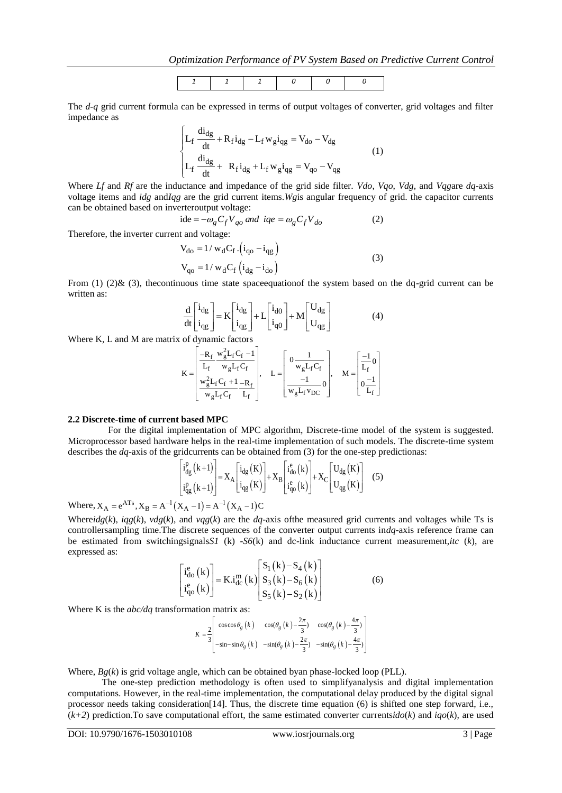

The *d-q* grid current formula can be expressed in terms of output voltages of converter, grid voltages and filter impedance as

$$
\begin{cases}\nL_f \frac{di_{dg}}{dt} + R_f i_{dg} - L_f w_g i_{gg} = V_{do} - V_{dg} \\
L_f \frac{di_{dg}}{dt} + R_f i_{dg} + L_f w_g i_{gg} = V_{qo} - V_{gg}\n\end{cases}
$$
\n(1)

Where *Lf* and *Rf* are the inductance and impedance of the grid side filter. *Vdo*, *Vqo*, *Vdg*, and *Vqg*are *dq*-axis voltage items and *idg* and*Iqg* are the grid current items.*Wg*is angular frequency of grid. the capacitor currents can be obtained based on inverteroutput voltage:<br>
ide  $= -\omega_g C_f V_{qo}$  and  $iqe = \omega_g C_f V_{do}$ 

ide = 
$$
-\omega_g C_f V_{qo}
$$
 and  $iqe = \omega_g C_f V_{do}$  (2)

Therefore, the inverter current and voltage:

$$
V_{do} = 1 / w_d C_f \cdot (i_{qo} - i_{qg})
$$
  
\n
$$
V_{qo} = 1 / w_d C_f (i_{dg} - i_{do})
$$
\n(3)

From (1) (2)& (3), the continuous time state space equation of the system based on the dq-grid current can be written as:

$$
\frac{d}{dt} \begin{bmatrix} i_{dg} \\ i_{gg} \end{bmatrix} = K \begin{bmatrix} i_{dg} \\ i_{gg} \end{bmatrix} + L \begin{bmatrix} i_{d0} \\ i_{q0} \end{bmatrix} + M \begin{bmatrix} U_{dg} \\ U_{gg} \end{bmatrix}
$$
(4)

Where K, L and M are matrix of dynamic factors  
\n
$$
K = \begin{bmatrix} -R_f & w_g^2 L_f C_f - 1 \\ \frac{L_f}{L_f} & w_g L_f C_f \\ w_g^2 L_f C_f + 1 - R_f \\ \frac{w_g^2 L_f C_f}{L_f} & L_f \end{bmatrix}, L = \begin{bmatrix} 0 & 1 \\ 0 & w_g L_f C_f \\ \frac{-1}{W_g L_f V_{DC}} \end{bmatrix}, M = \begin{bmatrix} \frac{-1}{L_f} 0 \\ \frac{1}{L_f} \end{bmatrix}
$$

#### **2.2 Discrete-time of current based MPC**

For the digital implementation of MPC algorithm, Discrete-time model of the system is suggested. Microprocessor based hardware helps in the real-time implementation of such models. The discrete-time system

describes the *dq*-axis of the gridcurrents can be obtained from (3) for the one-step predictions:  
\n
$$
\begin{bmatrix} i_{dg}^{p}(k+1) \ i_{gg}^{p}(k+1) \ \vdots \\ i_{gg}^{p}(k+1) \end{bmatrix} = X_{A} \begin{bmatrix} i_{dg}(K) \ i_{gg}(K) \ \vdots \\ i_{qs}(K) \end{bmatrix} + X_{B} \begin{bmatrix} i_{do}^{e}(k) \ i_{qg}(k) \ \vdots \\ i_{q}^{e}(k) \end{bmatrix} + X_{C} \begin{bmatrix} U_{dg}(K) \ U_{gg}(K) \end{bmatrix}
$$
(5)

Where,  $X_A = e^{ATs}$ ,  $X_B = A^{-1}(X_A - I) = A^{-1}(X_A - I)C$ 

Where $idg(k)$ ,  $igg(k)$ ,  $vdg(k)$ , and  $vqg(k)$  are the *dq*-axis of the measured grid currents and voltages while Ts is controllersampling time.The discrete sequences of the converter output currents in*dq*-axis reference frame can be estimated from switchingsignals*S1* (k) -*S6*(k) and dc-link inductance current measurement,*itc* (*k*), are expressed as:

$$
\begin{bmatrix} i_{do}^{e}(k) \\ i_{go}^{e}(k) \end{bmatrix} = K.i_{dc}^{m}(k) \begin{bmatrix} S_{1}(k) - S_{4}(k) \\ S_{3}(k) - S_{6}(k) \\ S_{5}(k) - S_{2}(k) \end{bmatrix}
$$
 (6)

Where K is the *abc/dq* transformation matrix as:

tion matrix as:  
\n
$$
K = \frac{2}{3} \begin{bmatrix}\n\cos \cos \theta_g (k) & \cos(\theta_g (k) - \frac{2\pi}{3}) & \cos(\theta_g (k) - \frac{4\pi}{3}) \\
-\sin - \sin \theta_g (k) & -\sin(\theta_g (k) - \frac{2\pi}{3}) & -\sin(\theta_g (k) - \frac{4\pi}{3})\n\end{bmatrix}
$$

Where, *Bg*(*k*) is grid voltage angle, which can be obtained byan phase-locked loop (PLL).

The one-step prediction methodology is often used to simplifyanalysis and digital implementation computations. However, in the real-time implementation, the computational delay produced by the digital signal processor needs taking consideration[14]. Thus, the discrete time equation (6) is shifted one step forward, i.e., (*k+2*) prediction.To save computational effort, the same estimated converter currents*ido*(*k*) and *iqo*(*k*), are used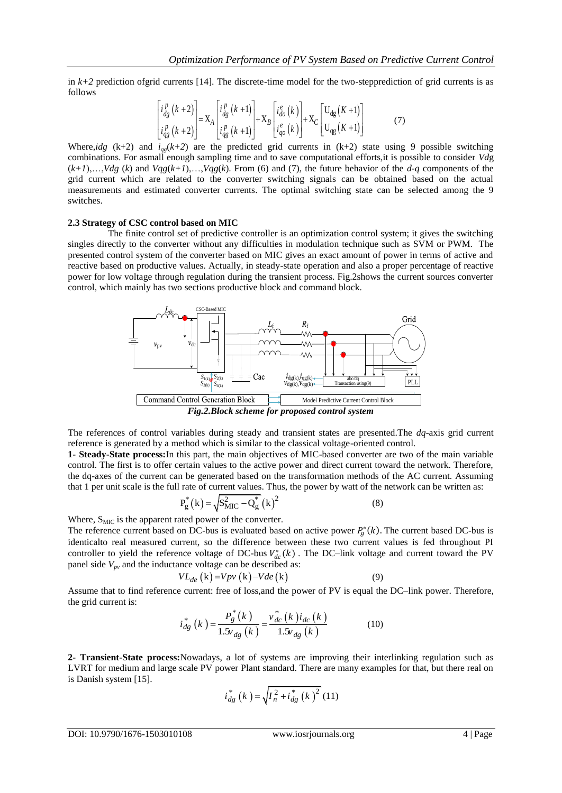in  $k+2$  prediction of grid currents [14]. The discrete-time model for the two-stepprediction of grid currents is as follows

$$
\begin{bmatrix} i_{dg}^{p} (k+2) \ i_{gg}^{p} (k+2) \ \end{bmatrix} = X_{A} \begin{bmatrix} i_{dg}^{p} (k+1) \ i_{gg}^{p} (k+1) \ \end{bmatrix} + X_{B} \begin{bmatrix} i_{do}^{e} (k) \ i_{go}^{e} (k) \end{bmatrix} + X_{C} \begin{bmatrix} U_{dg} (K+1) \ U_{gg} (K+1) \end{bmatrix}
$$
 (7)

Where,*idg* (k+2) and  $i_{qg}(k+2)$  are the predicted grid currents in (k+2) state using 9 possible switching combinations. For asmall enough sampling time and to save computational efforts,it is possible to consider *Vd*g  $(k+1),\ldots, Vdg$  (*k*) and  $Vgg(k+1),\ldots,Vgg(k)$ . From (6) and (7), the future behavior of the *d-q* components of the grid current which are related to the converter switching signals can be obtained based on the actual measurements and estimated converter currents. The optimal switching state can be selected among the 9 switches.

#### **2.3 Strategy of CSC control based on MIC**

The finite control set of predictive controller is an optimization control system; it gives the switching singles directly to the converter without any difficulties in modulation technique such as SVM or PWM. The presented control system of the converter based on MIC gives an exact amount of power in terms of active and reactive based on productive values. Actually, in steady-state operation and also a proper percentage of reactive power for low voltage through regulation during the transient process. Fig.2shows the current sources converter control, which mainly has two sections productive block and command block.



The references of control variables during steady and transient states are presented.The *dq*-axis grid current reference is generated by a method which is similar to the classical voltage-oriented control.

**1- Steady-State process:**In this part, the main objectives of MIC-based converter are two of the main variable control. The first is to offer certain values to the active power and direct current toward the network. Therefore, the dq-axes of the current can be generated based on the transformation methods of the AC current. Assuming that 1 per unit scale is the full rate of current values. Thus, the power by watt of the network can be written as:

$$
P_{g}^{*}(k) = \sqrt{S_{MIC}^{2} - Q_{g}^{*}}(k)^{2}
$$
 (8)

Where, S<sub>MIC</sub> is the apparent rated power of the converter.

The reference current based on DC-bus is evaluated based on active power  $P_g^*(k)$ . The current based DC-bus is identicalto real measured current, so the difference between these two current values is fed throughout PI controller to yield the reference voltage of DC-bus  $V_{dc}^*(k)$ . The DC-link voltage and current toward the PV panel side  $V_{pv}$  and the inductance voltage can be described as:<br> $VL_{de}(\mathbf{k}) = Vpv(\mathbf{k}) - Vde(\mathbf{k})$ 

$$
VL_{de}(\mathbf{k}) = Vpv(\mathbf{k}) - Vde(\mathbf{k})\tag{9}
$$

Assume that to find reference current: free of loss,and the power of PV is equal the DC–link power. Therefore, the grid current is:

$$
i_{dg}^{*}(k) = \frac{P_{g}^{*}(k)}{1.5v_{dg}(k)} = \frac{v_{dc}^{*}(k)i_{dc}(k)}{1.5v_{dg}(k)}
$$
(10)

**2- Transient-State process:**Nowadays, a lot of systems are improving their interlinking regulation such as LVRT for medium and large scale PV power Plant standard. There are many examples for that, but there real on is Danish system [15].

$$
i_{dg}^{*}(k) = \sqrt{I_{n}^{2} + i_{dg}^{*}(k)^{2}} (11)
$$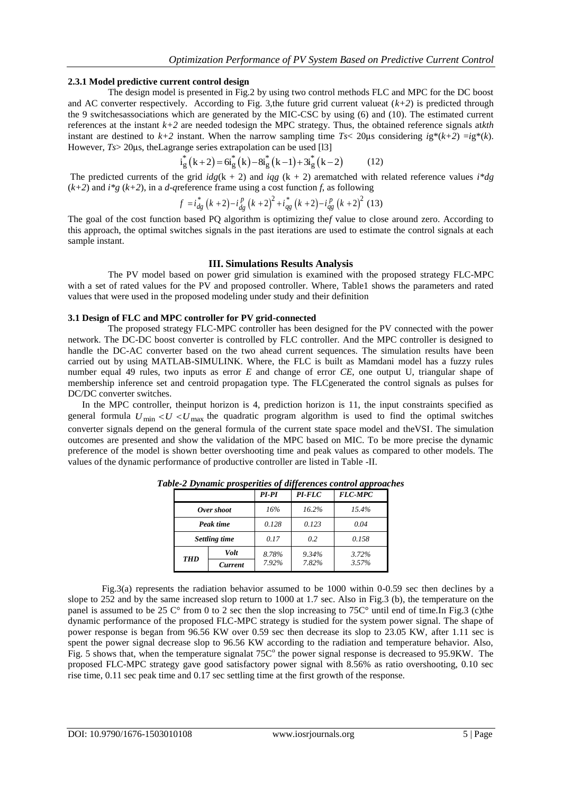#### **2.3.1 Model predictive current control design**

The design model is presented in Fig.2 by using two control methods FLC and MPC for the DC boost and AC converter respectively. According to Fig. 3, the future grid current valueat  $(k+2)$  is predicted through the 9 switchesassociations which are generated by the MIC-CSC by using (6) and (10). The estimated current references at the instant *k+2* are needed todesign the MPC strategy. Thus, the obtained reference signals at*kth* instant are destined to  $k+2$  instant. When the narrow sampling time  $Ts < 20 \mu s$  considering  $ig^*(k+2) = ig^*(k)$ . However, *Ts* > 20µs, the Lagrange series extrapolation can be used [13]<br>  $i_g^*(k+2) = 6i_g^*(k) - 8i_g^*(k-1) + 3i_g^*(k-2)$ 

$$
i_{\alpha}^{*}(k+2) = 6i_{\alpha}^{*}(k) - 8i_{\alpha}^{*}(k-1) + 3i_{\alpha}^{*}(k-2)
$$
 (12)

The predicted currents of the grid  $i\frac{dg(k + 2)}{g(k + 2)}$  and  $i\frac{dg(k + 2)}{g(k + 2)}$  arematched with related reference values  $i * dg$ 

$$
(k+2) \text{ and } i^*g \text{ (k+2), in a } d\text{-qreference frame using a cost function } f \text{, as following}
$$
\n
$$
f = i_{dg}^* \left( k+2 \right) - i_{dg}^p \left( k+2 \right)^2 + i_{gg}^* \left( k+2 \right) - i_{gg}^p \left( k+2 \right)^2 \text{ (13)}
$$

The goal of the cost function based PQ algorithm is optimizing the*f* value to close around zero. According to this approach, the optimal switches signals in the past iterations are used to estimate the control signals at each sample instant.

### **III. Simulations Results Analysis**

The PV model based on power grid simulation is examined with the proposed strategy FLC-MPC with a set of rated values for the PV and proposed controller. Where, Table1 shows the parameters and rated values that were used in the proposed modeling under study and their definition

#### **3.1 Design of FLC and MPC controller for PV grid-connected**

The proposed strategy FLC-MPC controller has been designed for the PV connected with the power network. The DC-DC boost converter is controlled by FLC controller. And the MPC controller is designed to handle the DC-AC converter based on the two ahead current sequences. The simulation results have been carried out by using MATLAB-SIMULINK. Where, the FLC is built as Mamdani model has a fuzzy rules number equal 49 rules, two inputs as error *E* and change of error *CE*, one output U, triangular shape of membership inference set and centroid propagation type. The FLCgenerated the control signals as pulses for DC/DC converter switches.

In the MPC controller, theinput horizon is 4, prediction horizon is 11, the input constraints specified as general formula  $U_{\text{min}} < U < U_{\text{max}}$  the quadratic program algorithm is used to find the optimal switches converter signals depend on the general formula of the current state space model and theVSI. The simulation outcomes are presented and show the validation of the MPC based on MIC. To be more precise the dynamic preference of the model is shown better overshooting time and peak values as compared to other models. The values of the dynamic performance of productive controller are listed in Table -II.

|               |                | PI-PI | $PI$ - $FLC$ | <b>FLC-MPC</b> |
|---------------|----------------|-------|--------------|----------------|
| Over shoot    |                | 16%   | 16.2%        | 15.4%          |
| Peak time     |                | 0.128 | 0.123        | 0.04           |
| Settling time |                | 0.17  | 0.2          | 0.158          |
| <b>THD</b>    | <b>Volt</b>    | 8.78% | 9.34%        | 3.72%          |
|               | <b>Current</b> | 7.92% | 7.82%        | 3.57%          |

*Table-2 Dynamic prosperities of differences control approaches*

Fig.3(a) represents the radiation behavior assumed to be 1000 within 0-0.59 sec then declines by a slope to 252 and by the same increased slop return to 1000 at 1.7 sec. Also in Fig.3 (b), the temperature on the panel is assumed to be 25  $\mathrm{C}^{\circ}$  from 0 to 2 sec then the slop increasing to 75 $\mathrm{C}^{\circ}$  until end of time. In Fig.3 (c)the dynamic performance of the proposed FLC-MPC strategy is studied for the system power signal. The shape of power response is began from 96.56 KW over 0.59 sec then decrease its slop to 23.05 KW, after 1.11 sec is spent the power signal decrease slop to 96.56 KW according to the radiation and temperature behavior. Also, Fig. 5 shows that, when the temperature signalat  $75C<sup>o</sup>$  the power signal response is decreased to  $95.9KW$ . The proposed FLC-MPC strategy gave good satisfactory power signal with 8.56% as ratio overshooting, 0.10 sec rise time, 0.11 sec peak time and 0.17 sec settling time at the first growth of the response.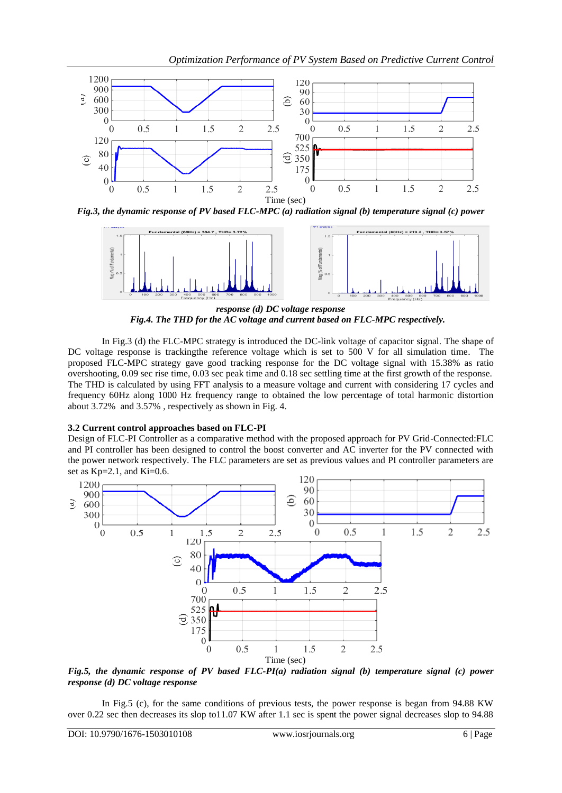

*Fig.3, the dynamic response of PV based FLC-MPC (a) radiation signal (b) temperature signal (c) power* 



*response (d) DC voltage response Fig.4. The THD for the AC voltage and current based on FLC-MPC respectively.*

In Fig.3 (d) the FLC-MPC strategy is introduced the DC-link voltage of capacitor signal. The shape of DC voltage response is tracking the reference voltage which is set to 500 V for all simulation time. The proposed FLC-MPC strategy gave good tracking response for the DC voltage signal with 15.38% as ratio overshooting, 0.09 sec rise time, 0.03 sec peak time and 0.18 sec settling time at the first growth of the response. The THD is calculated by using FFT analysis to a measure voltage and current with considering 17 cycles and frequency 60Hz along 1000 Hz frequency range to obtained the low percentage of total harmonic distortion about 3.72% and 3.57% , respectively as shown in Fig. 4.

# **3.2 Current control approaches based on FLC-PI**

Design of FLC-PI Controller as a comparative method with the proposed approach for PV Grid-Connected:FLC and PI controller has been designed to control the boost converter and AC inverter for the PV connected with the power network respectively. The FLC parameters are set as previous values and PI controller parameters are set as  $Kp=2.1$ , and  $Ki=0.6$ .



*Fig.5, the dynamic response of PV based FLC-PI(a) radiation signal (b) temperature signal (c) power response (d) DC voltage response*

In Fig.5 (c), for the same conditions of previous tests, the power response is began from 94.88 KW over 0.22 sec then decreases its slop to11.07 KW after 1.1 sec is spent the power signal decreases slop to 94.88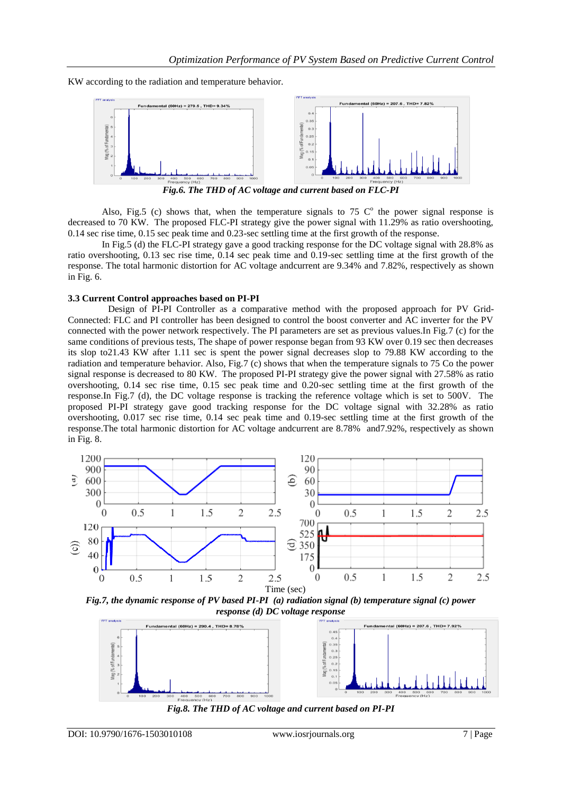KW according to the radiation and temperature behavior.



*Fig.6. The THD of AC voltage and current based on FLC-PI*

Also, Fig.5 (c) shows that, when the temperature signals to  $75$  C<sup>o</sup> the power signal response is decreased to 70 KW. The proposed FLC-PI strategy give the power signal with 11.29% as ratio overshooting, 0.14 sec rise time, 0.15 sec peak time and 0.23-sec settling time at the first growth of the response.

In Fig.5 (d) the FLC-PI strategy gave a good tracking response for the DC voltage signal with 28.8% as ratio overshooting, 0.13 sec rise time, 0.14 sec peak time and 0.19-sec settling time at the first growth of the response. The total harmonic distortion for AC voltage andcurrent are 9.34% and 7.82%, respectively as shown in Fig. 6.

### **3.3 Current Control approaches based on PI-PI**

Design of PI-PI Controller as a comparative method with the proposed approach for PV Grid-Connected: FLC and PI controller has been designed to control the boost converter and AC inverter for the PV connected with the power network respectively. The PI parameters are set as previous values.In Fig.7 (c) for the same conditions of previous tests, The shape of power response began from 93 KW over 0.19 sec then decreases its slop to21.43 KW after 1.11 sec is spent the power signal decreases slop to 79.88 KW according to the radiation and temperature behavior. Also, Fig.7 (c) shows that when the temperature signals to 75 Co the power signal response is decreased to 80 KW. The proposed PI-PI strategy give the power signal with 27.58% as ratio overshooting, 0.14 sec rise time, 0.15 sec peak time and 0.20-sec settling time at the first growth of the response.In Fig.7 (d), the DC voltage response is tracking the reference voltage which is set to 500V. The proposed PI-PI strategy gave good tracking response for the DC voltage signal with 32.28% as ratio overshooting, 0.017 sec rise time, 0.14 sec peak time and 0.19-sec settling time at the first growth of the response.The total harmonic distortion for AC voltage andcurrent are 8.78% and7.92%, respectively as shown in Fig. 8.



*Fig.7, the dynamic response of PV based PI-PI (a) radiation signal (b) temperature signal (c) power response (d) DC voltage response*



*Fig.8. The THD of AC voltage and current based on PI-PI*